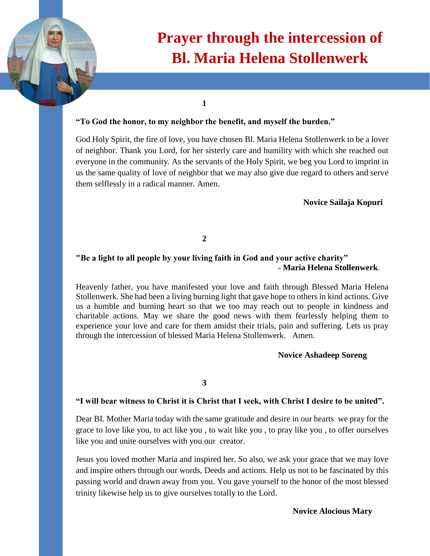

# **Prayer through the intercession of Bl. Maria Helena Stollenwerk**

**1**

#### **"To God the honor, to my neighbor the benefit, and myself the burden."**

God Holy Spirit, the fire of love, you have chosen Bl. Maria Helena Stollenwerk to be a lover of neighbor. Thank you Lord, for her sisterly care and humility with which she reached out everyone in the community. As the servants of the Holy Spirit, we beg you Lord to imprint in us the same quality of love of neighbor that we may also give due regard to others and serve them selflessly in a radical manner. Amen.

**Novice Sailaja Kopuri** 

**2**

# **"Be a light to all people by your living faith in God and your active charity" - Maria Helena Stollenwerk**.

Heavenly father, you have manifested your love and faith through Blessed Maria Helena Stollenwerk. She had been a living burning light that gave hope to others in kind actions. Give us a humble and burning heart so that we too may reach out to people in kindness and charitable actions. May we share the good news with them fearlessly helping them to experience your love and care for them amidst their trials, pain and suffering. Lets us pray through the intercession of blessed Maria Helena Stollenwerk. Amen.

## **Novice Ashadeep Soreng**

**3**

#### **"I will bear witness to Christ it is Christ that I seek, with Christ I desire to be united".**

Dear BI. Mother Maria today with the same gratitude and desire in our hearts we pray for the grace to love like you, to act like you , to wait like you , to pray like you , to offer ourselves like you and unite ourselves with you our creator.

Jesus you loved mother Maria and inspired her. So also, we ask your grace that we may love and inspire others through our words, Deeds and actions. Help us not to be fascinated by this passing world and drawn away from you. You gave yourself to the honor of the most blessed trinity likewise help us to give ourselves totally to the Lord.